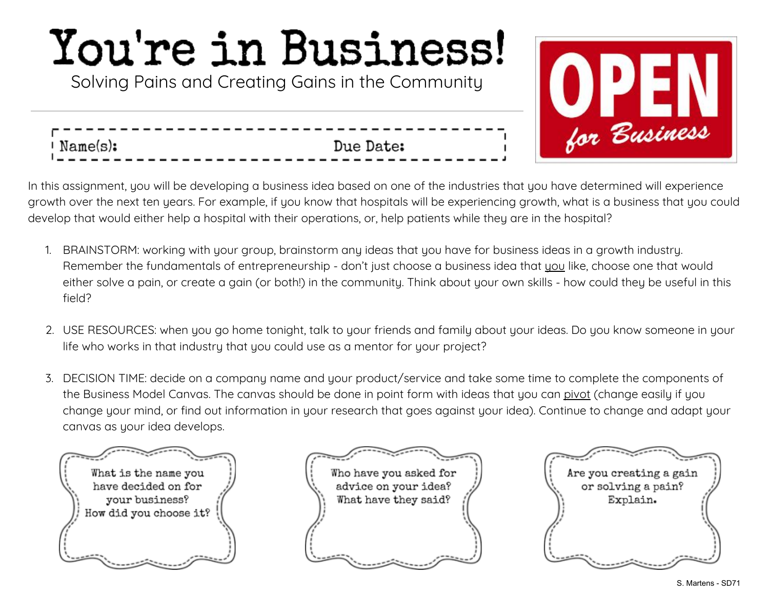Solving Pains and Creating Gains in the Community



In this assignment, you will be developing a business idea based on one of the industries that you have determined will experience growth over the next ten years. For example, if you know that hospitals will be experiencing growth, what is a business that you could develop that would either help a hospital with their operations, or, help patients while they are in the hospital?

Due Date:

- 1. BRAINSTORM: working with your group, brainstorm any ideas that you have for business ideas in a growth industry. Remember the fundamentals of entrepreneurship - don't just choose a business idea that you like, choose one that would either solve a pain, or create a gain (or both!) in the community. Think about your own skills - how could they be useful in this field?
- 2. USE RESOURCES: when you go home tonight, talk to your friends and family about your ideas. Do you know someone in your life who works in that industry that you could use as a mentor for your project?
- 3. DECISION TIME: decide on a company name and your product/service and take some time to complete the components of the Business Model Canvas. The canvas should be done in point form with ideas that you can pivot (change easily if you change your mind, or find out information in your research that goes against your idea). Continue to change and adapt your canvas as your idea develops.



' Name(s):



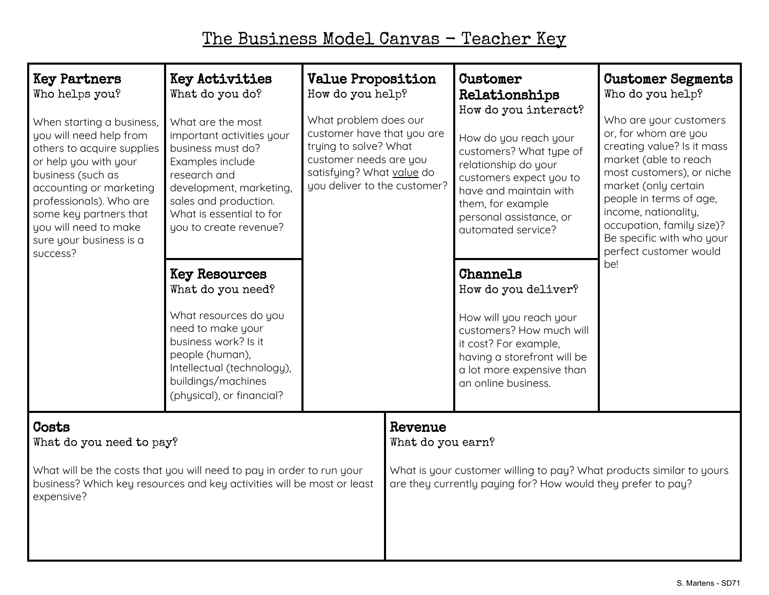## The Business Model Canvas - Teacher Key

| <b>Key Partners</b><br>Who helps you?<br>When starting a business,<br>you will need help from<br>others to acquire supplies<br>or help you with your<br>business (such as<br>accounting or marketing<br>professionals). Who are<br>some key partners that<br>you will need to make<br>sure your business is a<br>success? | Key Activities<br>What do you do?<br>What are the most<br>important activities your<br>business must do?<br>Examples include<br>research and<br>development, marketing,<br>sales and production.<br>What is essential to for<br>you to create revenue? | <b>Value Proposition</b><br>How do you help?<br>What problem does our<br>customer have that you are<br>trying to solve? What<br>customer needs are you<br>satisfying? What value do<br>you deliver to the customer? |                                                                                                                                                                      | Customer<br>Relationships<br>How do you interact?<br>How do you reach your<br>customers? What type of<br>relationship do your<br>customers expect you to<br>have and maintain with<br>them, for example<br>personal assistance, or<br>automated service? | <b>Customer Segments</b><br>Who do you help?<br>Who are your customers<br>or, for whom are you<br>creating value? Is it mass<br>market (able to reach<br>most customers), or niche<br>market (only certain<br>people in terms of age,<br>income, nationality,<br>occupation, family size)?<br>Be specific with who your<br>perfect customer would<br>be! |
|---------------------------------------------------------------------------------------------------------------------------------------------------------------------------------------------------------------------------------------------------------------------------------------------------------------------------|--------------------------------------------------------------------------------------------------------------------------------------------------------------------------------------------------------------------------------------------------------|---------------------------------------------------------------------------------------------------------------------------------------------------------------------------------------------------------------------|----------------------------------------------------------------------------------------------------------------------------------------------------------------------|----------------------------------------------------------------------------------------------------------------------------------------------------------------------------------------------------------------------------------------------------------|----------------------------------------------------------------------------------------------------------------------------------------------------------------------------------------------------------------------------------------------------------------------------------------------------------------------------------------------------------|
|                                                                                                                                                                                                                                                                                                                           | <b>Key Resources</b><br>What do you need?<br>What resources do you<br>need to make your<br>business work? Is it<br>people (human),<br>Intellectual (technology),<br>buildings/machines<br>(physical), or financial?                                    |                                                                                                                                                                                                                     |                                                                                                                                                                      | <b>Channels</b><br>How do you deliver?<br>How will you reach your<br>customers? How much will<br>it cost? For example,<br>having a storefront will be<br>a lot more expensive than<br>an online business.                                                |                                                                                                                                                                                                                                                                                                                                                          |
| Costs<br>What do you need to pay?<br>What will be the costs that you will need to pay in order to run your<br>business? Which key resources and key activities will be most or least<br>expensive?                                                                                                                        |                                                                                                                                                                                                                                                        |                                                                                                                                                                                                                     | Revenue<br>What do you earn?<br>What is your customer willing to pay? What products similar to yours<br>are they currently paying for? How would they prefer to pay? |                                                                                                                                                                                                                                                          |                                                                                                                                                                                                                                                                                                                                                          |